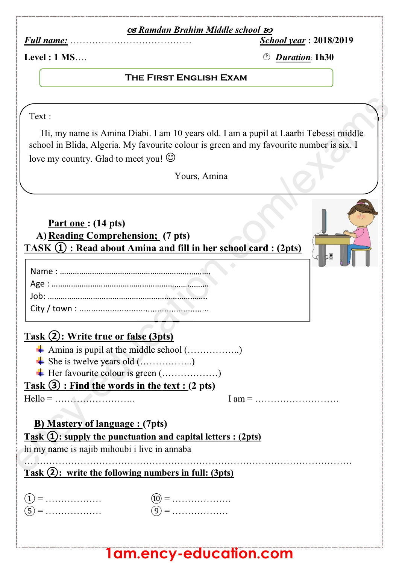### - *Ramdan Brahim Middle school*

*Full name:* ………………………………… *School year* **: 2018/2019**

**Superintendent and the contract of the contract of the contract of the contract of the contract of the contract of the contract of the contract of the contract of the contract of the contract of the contract of the contra** 

**Level : 1 MS**…. *Duration*: **1h30**

#### **THE FIRST ENGLISH EXAM The First English Exam**

Text :

 Hi, my name is Amina Diabi. I am 10 years old. I am a pupil at Laarbi Tebessi middle school in Blida, Algeria. My favourite colour is green and my favourite number is six. I love my country. Glad to meet you!  $\odot$ upil at Laarbi Tebessi middle<br>y favourite number is six. I

Yours, Amina

**Part one : (14 pts) A) Reading Comprehension; (7 pts) TASK ① : Read about Amina and fill in her school card : (2pts)**

## **Task ②: Write true or false (3pts) r false (3pts**<br>ne middle sch<br>old (..........

- Amina is pupil at the middle school (...................)
- She is twelve years old (...................)
- Her favourite colour is green (...................) er favourite colou<br> **Example 19 : Find the wo**<br>
................................

### **Task ③ : Find the words in the text : (2 pts) words w**

Hello = …………………….. I am = ………………………

# **B) Mastery of language : (7pts) b**<br>**b** Mastery of<br>**b** Mastery of<br>**ask (1):** supply to<br>i my name is najit

**Task ①: supply the punctuation and capital letters : (2pts) Task (1): supp**<br>hi my name is n

hi my name is najib mihoubi i live in annaba<br>  $\overrightarrow{ }$ <br>  $\overrightarrow{ }$ <br>  $\overrightarrow{ }$ <br>  $\overrightarrow{ }$ <br>  $\overrightarrow{ }$ <br>  $\overrightarrow{ }$ <br>  $\overrightarrow{ }$ <br>  $\overrightarrow{ }$ <br>  $\overrightarrow{ }$ <br>  $\overrightarrow{ }$ <br>  $\overrightarrow{ }$ <br>  $\overrightarrow{ }$ <br>  $\overrightarrow{ }$ <br>  $\overrightarrow{ }$ <br>  $\overrightarrow{ }$ <br>  $\overrightarrow{ }$ <br>  $\overrightarrow{ }$ <br>  $\overrightarrow{ }$ <br>  $\overrightarrow{ }$ <br>  $\overrightarrow$ 

**Task ②: write the following numbers in full: (3pts) Task**

| .     |   |
|-------|---|
| <br>. | . |

### **1am.ency-education.com**